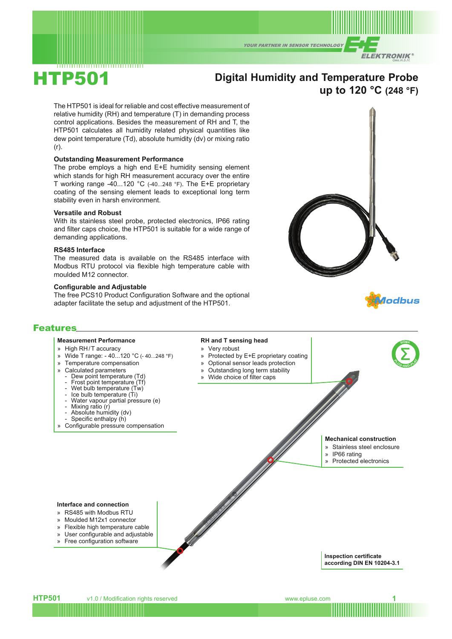**YOUR PARTNER IN SENSOR TECHNOLOGY** 



# HTP501

# **Digital Humidity and Temperature Probe up to 120 °C (248 °F)**

The HTP501 is ideal for reliable and cost effective measurement of relative humidity (RH) and temperature (T) in demanding process control applications. Besides the measurement of RH and T, the HTP501 calculates all humidity related physical quantities like dew point temperature (Td), absolute humidity (dv) or mixing ratio (r).

#### **Outstanding Measurement Performance**

The probe employs a high end E+E humidity sensing element which stands for high RH measurement accuracy over the entire T working range -40...120 °C (-40...248 °F). The E+E proprietary coating of the sensing element leads to exceptional long term stability even in harsh environment.

#### **Versatile and Robust**

With its stainless steel probe, protected electronics, IP66 rating and filter caps choice, the HTP501 is suitable for a wide range of demanding applications.

#### **RS485 Interface**

The measured data is available on the RS485 interface with Modbus RTU protocol via flexible high temperature cable with moulded M12 connector.

#### **Configurable and Adjustable**

The free PCS10 Product Configuration Software and the optional adapter facilitate the setup and adjustment of the HTP501.





**<sup>P</sup>LUG-AND-PLA<sup>Y</sup>**

**SIGMA**

#### Features

#### **Measurement Performance**

- » High RH/T accuracy
- » Wide T range: 40...120 °C (- 40...248 °F)
- » Temperature compensation
- » Calculated parameters
	- Dew point temperature (Td)
	- Frost point temperature (Tf)
	- Wet bulb temperature (Tw)
	- Ice bulb temperature (Ti)
	- Water vapour partial pressure (e)
	- Mixing ratio (r)
	- Absolute humidity (dv)
	- Specific enthalpy (h)
- » Configurable pressure compensation

# **RH and T sensing head**

- » Very robust
- » Protected by E+E proprietary coating
- » Optional sensor leads protection
- » Outstanding long term stability
- » Wide choice of filter caps

### **Mechanical construction**

- » Stainless steel enclosure
- » IP66 rating
- » Protected electronics

#### **Interface and connection**

- » RS485 with Modbus RTU
- » Moulded M12x1 connector
- » Flexible high temperature cable
- » User configurable and adjustable
- » Free configuration software
- 

**Inspection certificate according DIN EN 10204-3.1**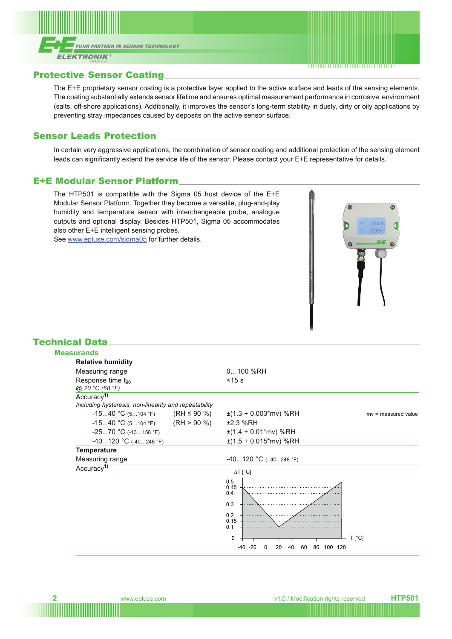



## Protective Sensor Coating

The E+E proprietary sensor coating is a protective layer applied to the active surface and leads of the sensing elements. The coating substantially extends sensor lifetime and ensures optimal measurement performance in corrosive environment (salts, off-shore applications). Additionally, it improves the sensor's long-term stability in dusty, dirty or oily applications by preventing stray impedances caused by deposits on the active sensor surface.

## Sensor Leads Protection

In certain very aggressive applications, the combination of sensor coating and additional protection of the sensing element leads can significantly extend the service life of the sensor. Please contact your E+E representative for details.

## E+E Modular Sensor Platform

The HTP501 is compatible with the Sigma 05 host device of the E+E Modular Sensor Platform. Together they become a versatile, plug-and-play humidity and temperature sensor with interchangeable probe, analogue outputs and optional display. Besides HTP501, Sigma 05 accommodates also other E+E intelligent sensing probes. See [www.epluse.com/sigma05](https://www.epluse.com/sigma05) for further details.



## Technical Data

| <b>Measurands</b>                                     |                                                              |                       |
|-------------------------------------------------------|--------------------------------------------------------------|-----------------------|
| <b>Relative humidity</b>                              |                                                              |                       |
| Measuring range                                       | $0100$ %RH                                                   |                       |
| Response time t <sub>90</sub><br>@ 20 °C (68 °F)      | $<$ 15 $s$                                                   |                       |
| Accuracy <sup>1)</sup>                                |                                                              |                       |
| Including hysteresis, non-linearity and repeatability |                                                              |                       |
| -1540 °C (5104 °F) (RH ≤ 90 %)                        | $\pm$ (1.3 + 0.003*mv) %RH                                   | $mv =$ measured value |
| $-1540 °C (5104 °F)$ (RH > 90 %)                      | ±2.3 %RH                                                     |                       |
| $-2570$ °C (-13158 °F)                                | $\pm$ (1.4 + 0.01*mv) %RH                                    |                       |
| $-40120$ °C (-40248 °F)                               | $\pm$ (1.5 + 0.015*mv) %RH                                   |                       |
| <b>Temperature</b>                                    |                                                              |                       |
| Measuring range                                       | $-40120$ °C (-40248 °F)                                      |                       |
| Accuracy <sup>1)</sup>                                | $\Delta T$ [°C]                                              |                       |
|                                                       | 0.5<br>0.45<br>0.4                                           |                       |
|                                                       | 0 <sub>3</sub>                                               |                       |
|                                                       | 0.2<br>0.15<br>0.1                                           |                       |
|                                                       | 0                                                            | $T[^{\circ}C]$        |
|                                                       | $-40 - 20$<br>40<br>20<br>60<br>80<br>120<br>$\Omega$<br>100 |                       |
|                                                       |                                                              |                       |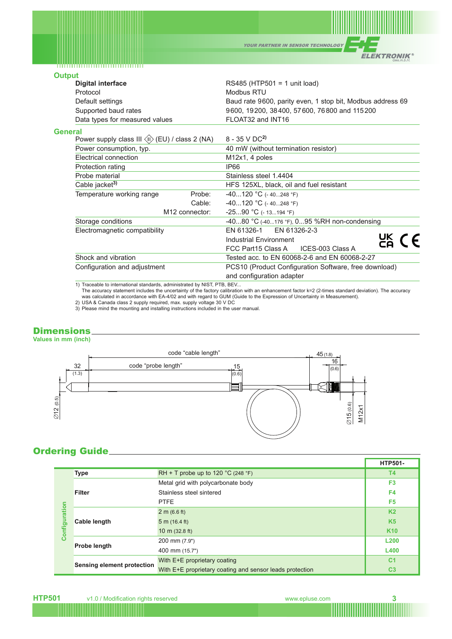YOUR PARTNER IN SENSOR TECHNOLOGY

**ELEKTRONIK®** 

## **Outp**

| <b>Output</b>  |                                                                                                                    |        |                                                                                                                                              |  |
|----------------|--------------------------------------------------------------------------------------------------------------------|--------|----------------------------------------------------------------------------------------------------------------------------------------------|--|
|                | <b>Digital interface</b><br>Protocol<br>Default settings<br>Supported baud rates<br>Data types for measured values |        | RS485 (HTP501 = 1 unit load)                                                                                                                 |  |
|                |                                                                                                                    |        | Modbus RTU<br>Baud rate 9600, parity even, 1 stop bit, Modbus address 69<br>9600, 19200, 38400, 57600, 76800 and 115200<br>FLOAT32 and INT16 |  |
|                |                                                                                                                    |        |                                                                                                                                              |  |
|                |                                                                                                                    |        |                                                                                                                                              |  |
|                |                                                                                                                    |        |                                                                                                                                              |  |
| <b>General</b> |                                                                                                                    |        |                                                                                                                                              |  |
|                | Power supply class III $\langle \mathbb{I} \rangle$ (EU) / class 2 (NA)<br>Power consumption, typ.                 |        | 8 - 35 V DC <sup>2</sup>                                                                                                                     |  |
|                |                                                                                                                    |        | 40 mW (without termination resistor)                                                                                                         |  |
|                | <b>Flectrical connection</b>                                                                                       |        | M12x1, 4 poles                                                                                                                               |  |
|                | Protection rating                                                                                                  |        | <b>IP66</b>                                                                                                                                  |  |
|                | Probe material                                                                                                     |        | Stainless steel 1.4404                                                                                                                       |  |
|                | Cable jacket <sup>3)</sup>                                                                                         |        | HFS 125XL, black, oil and fuel resistant                                                                                                     |  |
|                | Temperature working range                                                                                          | Probe: | $-40120$ °C (-40248 °F)                                                                                                                      |  |
|                |                                                                                                                    | Cable: | $-40120$ °C (- 40248 °F)                                                                                                                     |  |
|                | M <sub>12</sub> connector:                                                                                         |        | $-2590$ °C (-13194 °F)                                                                                                                       |  |
|                | Storage conditions                                                                                                 |        | -4080 °C (-40176 °F), 095 %RH non-condensing                                                                                                 |  |
|                | Electromagnetic compatibility                                                                                      |        | EN 61326-2-3<br>EN 61326-1                                                                                                                   |  |
|                |                                                                                                                    |        | $C_{\mathsf{A}}^{\mathsf{UK}}$ ( $\epsilon$<br>Industrial Environment                                                                        |  |
|                |                                                                                                                    |        | ICES-003 Class A<br>FCC Part15 Class A                                                                                                       |  |
|                | Shock and vibration<br>Configuration and adjustment                                                                |        | Tested acc. to EN 60068-2-6 and EN 60068-2-27                                                                                                |  |
|                |                                                                                                                    |        | PCS10 (Product Configuration Software, free download)                                                                                        |  |
|                |                                                                                                                    |        | and configuration adapter                                                                                                                    |  |
|                | 1) Traceable to international standards, administrated by NIST DTR, REV                                            |        |                                                                                                                                              |  |

1) Traceable to international standards, administrated by NIST, PTB, BEV...<br>The accuracy statement includes the uncertainty of the factory calibration with an enhancement factor k=2 (2-times standard deviation). The accura

2) USA & Canada class 2 supply required, max. supply voltage 30 V DC 3) Please mind the mounting and installing instructions included in the user manual.

## **Dimensions**

**Values in mm (inch)**



# Ordering Guide

|                   |                                   |                                                          | <b>HTP501-</b> |
|-------------------|-----------------------------------|----------------------------------------------------------|----------------|
|                   | <b>Type</b>                       | RH + T probe up to 120 $^{\circ}$ C (248 $^{\circ}$ F)   | <b>T4</b>      |
| ration<br>Configu | <b>Filter</b>                     | Metal grid with polycarbonate body                       | F <sub>3</sub> |
|                   |                                   | Stainless steel sintered                                 | F4             |
|                   |                                   | <b>PTFE</b>                                              | F <sub>5</sub> |
|                   | <b>Cable length</b>               | 2 m (6.6 ft)                                             | K <sub>2</sub> |
|                   |                                   | 5 m (16.4 ft)                                            | K <sub>5</sub> |
|                   |                                   | 10 m $(32.8 \text{ ft})$                                 | <b>K10</b>     |
|                   | <b>Probe length</b>               | 200 mm (7.9")                                            | <b>L200</b>    |
|                   |                                   | 400 mm (15.7")                                           | <b>L400</b>    |
|                   | <b>Sensing element protection</b> | With E+E proprietary coating                             | C <sub>1</sub> |
|                   |                                   | With E+E proprietary coating and sensor leads protection | C <sub>3</sub> |